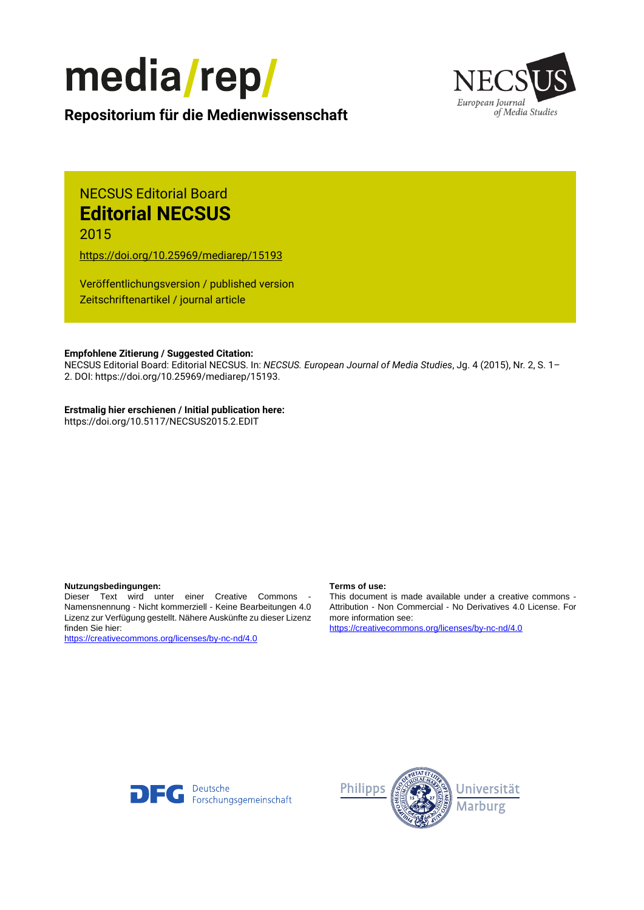



**Repositorium für die [Medienwissenschaft](https://mediarep.org)**

# NECSUS Editorial Board **Editorial NECSUS**

2015

<https://doi.org/10.25969/mediarep/15193>

Veröffentlichungsversion / published version Zeitschriftenartikel / journal article

#### **Empfohlene Zitierung / Suggested Citation:**

NECSUS Editorial Board: Editorial NECSUS. In: *NECSUS. European Journal of Media Studies*, Jg. 4 (2015), Nr. 2, S. 1– 2. DOI: https://doi.org/10.25969/mediarep/15193.

### **Erstmalig hier erschienen / Initial publication here:**

https://doi.org/10.5117/NECSUS2015.2.EDIT

#### **Nutzungsbedingungen: Terms of use:**

Dieser Text wird unter einer Creative Commons - Namensnennung - Nicht kommerziell - Keine Bearbeitungen 4.0 Lizenz zur Verfügung gestellt. Nähere Auskünfte zu dieser Lizenz finden Sie hier:

<https://creativecommons.org/licenses/by-nc-nd/4.0>

This document is made available under a creative commons - Attribution - Non Commercial - No Derivatives 4.0 License. For more information see:

<https://creativecommons.org/licenses/by-nc-nd/4.0>



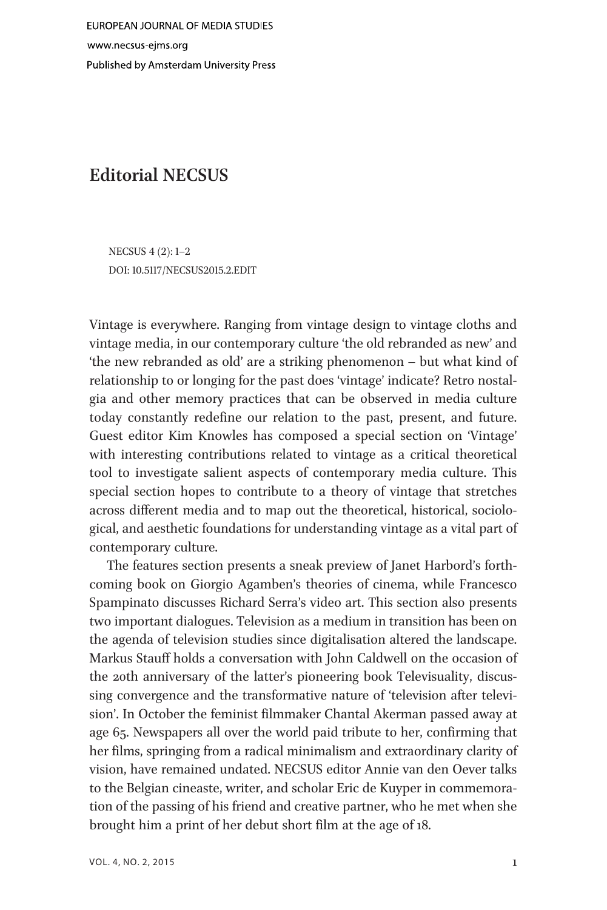## Editorial NECSUS

NECSUS 4 (2): 1–2 DOI: 10.5117/NECSUS2015.2.EDIT

Vintage is everywhere. Ranging from vintage design to vintage cloths and vintage media, in our contemporary culture 'the old rebranded as new' and 'the new rebranded as old' are a striking phenomenon – but what kind of relationship to or longing for the past does 'vintage' indicate? Retro nostalgia and other memory practices that can be observed in media culture today constantly redefine our relation to the past, present, and future. Guest editor Kim Knowles has composed a special section on 'Vintage' with interesting contributions related to vintage as a critical theoretical tool to investigate salient aspects of contemporary media culture. This special section hopes to contribute to a theory of vintage that stretches across different media and to map out the theoretical, historical, sociological, and aesthetic foundations for understanding vintage as a vital part of contemporary culture.

The features section presents a sneak preview of Janet Harbord's forthcoming book on Giorgio Agamben's theories of cinema, while Francesco Spampinato discusses Richard Serra's video art. This section also presents two important dialogues. Television as a medium in transition has been on the agenda of television studies since digitalisation altered the landscape. Markus Stauff holds a conversation with John Caldwell on the occasion of the 20th anniversary of the latter's pioneering book Televisuality, discussing convergence and the transformative nature of 'television after television'. In October the feminist filmmaker Chantal Akerman passed away at age 65. Newspapers all over the world paid tribute to her, confirming that her films, springing from a radical minimalism and extraordinary clarity of vision, have remained undated. NECSUS editor Annie van den Oever talks to the Belgian cineaste, writer, and scholar Eric de Kuyper in commemoration of the passing of his friend and creative partner, who he met when she brought him a print of her debut short film at the age of 18.